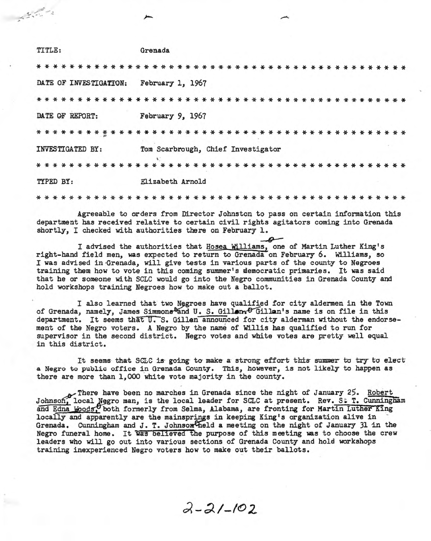| TITLE:                 | Grenada                               |
|------------------------|---------------------------------------|
|                        |                                       |
| DATE OF INVESTIGATION: | February 1, 1967                      |
| * * * * * * * * * *    | * * * * * * * * * * * * * * * * * * * |
| DATE OF REPORT:        | February 9, 1967                      |
| * * * * * * * * * *    | * * * * * * * * * * *                 |
| INVESTIGATED BY:       | Tom Scarbrough, Chief Investigator    |
|                        |                                       |
| TYPED BY:              | Elizabeth Arnold                      |
|                        |                                       |

 $5 - 3$ 

Agreeable to orders from Director Johnston to pass on certain information this department has received relative to certain civil rights agitators coming into Grenada shortly, I checked with authorities there on February 1.

I advised the authorities that Hosea Williams, one of Martin Luther King's right-hand field men, was expected to return to Grenada on February 6. Williams, so I was advised in Grenada, will give tests in various parts of the county to Negroes training them how to vote in this coming summer's democratic primaries. It was said that he or someone with SCLC would go into the Negro communities in Grenada County and hold workshops training Negroes how to make out a ballot.

I also learned that two Negroes have qualified for city aldermen in the Town of Grenada, namely, James Simmons and U. S. Gillon. OGillan's name is on file in this department. It seems that U.S. Gillen announced for city alderman without the endorsement of the Negro voters. A Negro by the name of Willis has qualified to run for supervisor in the second district. Negro votes and white votes are pretty well equal in this district.

It seems that SCLC is going to make a strong effort this summer to try to elect a Negro to public office in Grenada County. This, however, is not likely to happen as there are more than 1,000 white vote majority in the county.

There have been no marches in Grenada since the night of January 25. Robert<br>Johnson, local Negro man, is the local leader for SCLC at present. Rev. S. T. Cunningham<br>and Edna Woods, both formerly from Selma, Alabama, are fr locally and apparently are the mainsprings in keeping King's organization alive in Grenada. Cunningham and J. T. Johnson theld a meeting on the night of January 31 in the Negro funeral home. It was believed the purpose of this meeting was to choose the crew leaders who will go out into various sections of Grenada County and hold workshops training inexperienced Negro voters how to make out their ballots.

 $2 - 21 - 102$